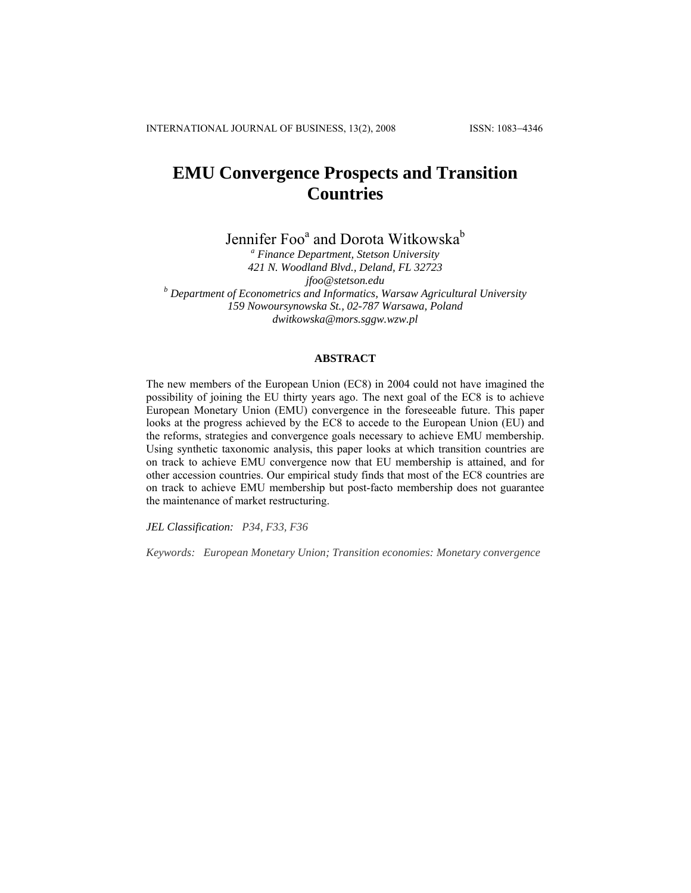# **EMU Convergence Prospects and Transition Countries**

Jennifer Foo<sup>a</sup> and Dorota Witkowska<sup>b</sup>

*a Finance Department, Stetson University 421 N. Woodland Blvd., Deland, FL 32723 jfoo@stetson.edu*<br><sup>*b*</sup> Department of Econometrics and Informatics, Warsaw Agricultural University *159 Nowoursynowska St., 02-787 Warsawa, Poland dwitkowska@mors.sggw.wzw.pl* 

### **ABSTRACT**

The new members of the European Union (EC8) in 2004 could not have imagined the possibility of joining the EU thirty years ago. The next goal of the EC8 is to achieve European Monetary Union (EMU) convergence in the foreseeable future. This paper looks at the progress achieved by the EC8 to accede to the European Union (EU) and the reforms, strategies and convergence goals necessary to achieve EMU membership. Using synthetic taxonomic analysis, this paper looks at which transition countries are on track to achieve EMU convergence now that EU membership is attained, and for other accession countries. Our empirical study finds that most of the EC8 countries are on track to achieve EMU membership but post-facto membership does not guarantee the maintenance of market restructuring.

*JEL Classification: P34, F33, F36* 

*Keywords: European Monetary Union; Transition economies: Monetary convergence*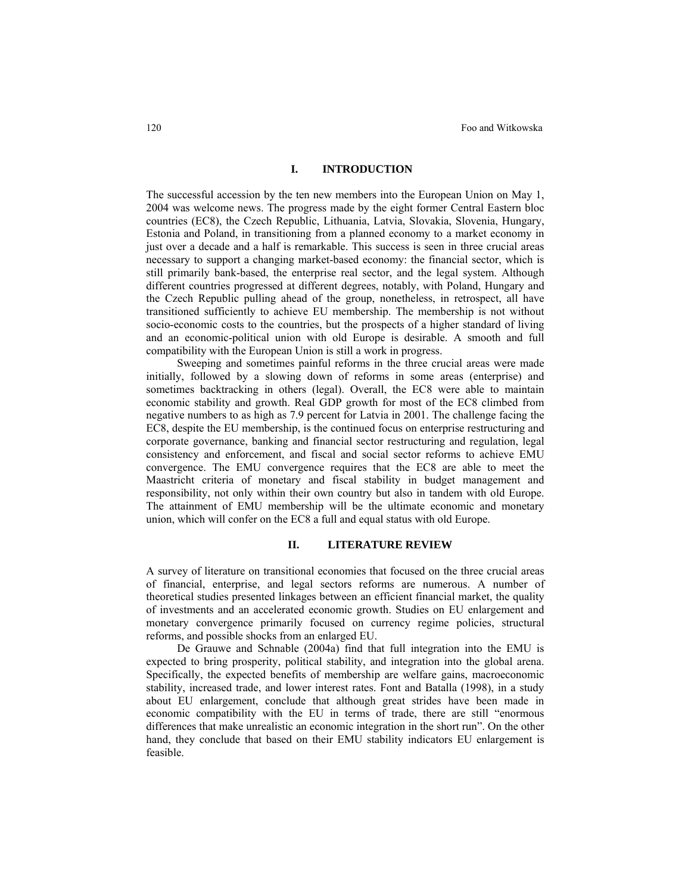### **I. INTRODUCTION**

The successful accession by the ten new members into the European Union on May 1, 2004 was welcome news. The progress made by the eight former Central Eastern bloc countries (EC8), the Czech Republic, Lithuania, Latvia, Slovakia, Slovenia, Hungary, Estonia and Poland, in transitioning from a planned economy to a market economy in just over a decade and a half is remarkable. This success is seen in three crucial areas necessary to support a changing market-based economy: the financial sector, which is still primarily bank-based, the enterprise real sector, and the legal system. Although different countries progressed at different degrees, notably, with Poland, Hungary and the Czech Republic pulling ahead of the group, nonetheless, in retrospect, all have transitioned sufficiently to achieve EU membership. The membership is not without socio-economic costs to the countries, but the prospects of a higher standard of living and an economic-political union with old Europe is desirable. A smooth and full compatibility with the European Union is still a work in progress.

Sweeping and sometimes painful reforms in the three crucial areas were made initially, followed by a slowing down of reforms in some areas (enterprise) and sometimes backtracking in others (legal). Overall, the EC8 were able to maintain economic stability and growth. Real GDP growth for most of the EC8 climbed from negative numbers to as high as 7.9 percent for Latvia in 2001. The challenge facing the EC8, despite the EU membership, is the continued focus on enterprise restructuring and corporate governance, banking and financial sector restructuring and regulation, legal consistency and enforcement, and fiscal and social sector reforms to achieve EMU convergence. The EMU convergence requires that the EC8 are able to meet the Maastricht criteria of monetary and fiscal stability in budget management and responsibility, not only within their own country but also in tandem with old Europe. The attainment of EMU membership will be the ultimate economic and monetary union, which will confer on the EC8 a full and equal status with old Europe.

### **II. LITERATURE REVIEW**

A survey of literature on transitional economies that focused on the three crucial areas of financial, enterprise, and legal sectors reforms are numerous. A number of theoretical studies presented linkages between an efficient financial market, the quality of investments and an accelerated economic growth. Studies on EU enlargement and monetary convergence primarily focused on currency regime policies, structural reforms, and possible shocks from an enlarged EU.

De Grauwe and Schnable (2004a) find that full integration into the EMU is expected to bring prosperity, political stability, and integration into the global arena. Specifically, the expected benefits of membership are welfare gains, macroeconomic stability, increased trade, and lower interest rates. Font and Batalla (1998), in a study about EU enlargement, conclude that although great strides have been made in economic compatibility with the EU in terms of trade, there are still "enormous differences that make unrealistic an economic integration in the short run". On the other hand, they conclude that based on their EMU stability indicators EU enlargement is feasible.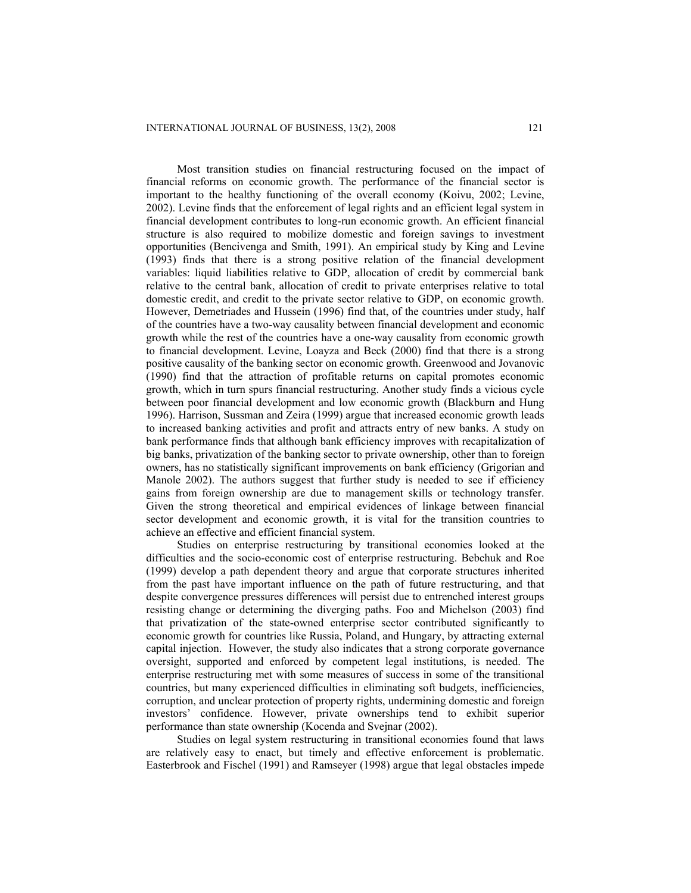Most transition studies on financial restructuring focused on the impact of financial reforms on economic growth. The performance of the financial sector is important to the healthy functioning of the overall economy (Koivu, 2002; Levine, 2002). Levine finds that the enforcement of legal rights and an efficient legal system in financial development contributes to long-run economic growth. An efficient financial structure is also required to mobilize domestic and foreign savings to investment opportunities (Bencivenga and Smith, 1991). An empirical study by King and Levine (1993) finds that there is a strong positive relation of the financial development variables: liquid liabilities relative to GDP, allocation of credit by commercial bank relative to the central bank, allocation of credit to private enterprises relative to total domestic credit, and credit to the private sector relative to GDP, on economic growth. However, Demetriades and Hussein (1996) find that, of the countries under study, half of the countries have a two-way causality between financial development and economic growth while the rest of the countries have a one-way causality from economic growth to financial development. Levine, Loayza and Beck (2000) find that there is a strong positive causality of the banking sector on economic growth. Greenwood and Jovanovic (1990) find that the attraction of profitable returns on capital promotes economic growth, which in turn spurs financial restructuring. Another study finds a vicious cycle between poor financial development and low economic growth (Blackburn and Hung 1996). Harrison, Sussman and Zeira (1999) argue that increased economic growth leads to increased banking activities and profit and attracts entry of new banks. A study on bank performance finds that although bank efficiency improves with recapitalization of big banks, privatization of the banking sector to private ownership, other than to foreign owners, has no statistically significant improvements on bank efficiency (Grigorian and Manole 2002). The authors suggest that further study is needed to see if efficiency gains from foreign ownership are due to management skills or technology transfer. Given the strong theoretical and empirical evidences of linkage between financial sector development and economic growth, it is vital for the transition countries to achieve an effective and efficient financial system.

Studies on enterprise restructuring by transitional economies looked at the difficulties and the socio-economic cost of enterprise restructuring. Bebchuk and Roe (1999) develop a path dependent theory and argue that corporate structures inherited from the past have important influence on the path of future restructuring, and that despite convergence pressures differences will persist due to entrenched interest groups resisting change or determining the diverging paths. Foo and Michelson (2003) find that privatization of the state-owned enterprise sector contributed significantly to economic growth for countries like Russia, Poland, and Hungary, by attracting external capital injection. However, the study also indicates that a strong corporate governance oversight, supported and enforced by competent legal institutions, is needed. The enterprise restructuring met with some measures of success in some of the transitional countries, but many experienced difficulties in eliminating soft budgets, inefficiencies, corruption, and unclear protection of property rights, undermining domestic and foreign investors' confidence. However, private ownerships tend to exhibit superior performance than state ownership (Kocenda and Svejnar (2002).

Studies on legal system restructuring in transitional economies found that laws are relatively easy to enact, but timely and effective enforcement is problematic. Easterbrook and Fischel (1991) and Ramseyer (1998) argue that legal obstacles impede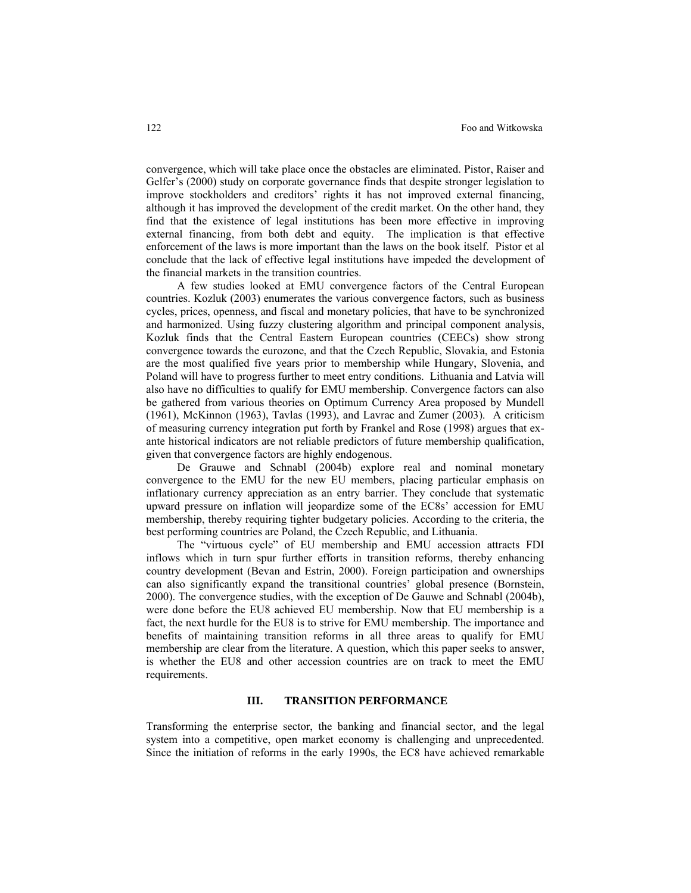convergence, which will take place once the obstacles are eliminated. Pistor, Raiser and Gelfer's (2000) study on corporate governance finds that despite stronger legislation to improve stockholders and creditors' rights it has not improved external financing, although it has improved the development of the credit market. On the other hand, they find that the existence of legal institutions has been more effective in improving external financing, from both debt and equity. The implication is that effective enforcement of the laws is more important than the laws on the book itself. Pistor et al conclude that the lack of effective legal institutions have impeded the development of the financial markets in the transition countries.

A few studies looked at EMU convergence factors of the Central European countries. Kozluk (2003) enumerates the various convergence factors, such as business cycles, prices, openness, and fiscal and monetary policies, that have to be synchronized and harmonized. Using fuzzy clustering algorithm and principal component analysis, Kozluk finds that the Central Eastern European countries (CEECs) show strong convergence towards the eurozone, and that the Czech Republic, Slovakia, and Estonia are the most qualified five years prior to membership while Hungary, Slovenia, and Poland will have to progress further to meet entry conditions. Lithuania and Latvia will also have no difficulties to qualify for EMU membership. Convergence factors can also be gathered from various theories on Optimum Currency Area proposed by Mundell (1961), McKinnon (1963), Tavlas (1993), and Lavrac and Zumer (2003). A criticism of measuring currency integration put forth by Frankel and Rose (1998) argues that exante historical indicators are not reliable predictors of future membership qualification, given that convergence factors are highly endogenous.

De Grauwe and Schnabl (2004b) explore real and nominal monetary convergence to the EMU for the new EU members, placing particular emphasis on inflationary currency appreciation as an entry barrier. They conclude that systematic upward pressure on inflation will jeopardize some of the EC8s' accession for EMU membership, thereby requiring tighter budgetary policies. According to the criteria, the best performing countries are Poland, the Czech Republic, and Lithuania.

The "virtuous cycle" of EU membership and EMU accession attracts FDI inflows which in turn spur further efforts in transition reforms, thereby enhancing country development (Bevan and Estrin, 2000). Foreign participation and ownerships can also significantly expand the transitional countries' global presence (Bornstein, 2000). The convergence studies, with the exception of De Gauwe and Schnabl (2004b), were done before the EU8 achieved EU membership. Now that EU membership is a fact, the next hurdle for the EU8 is to strive for EMU membership. The importance and benefits of maintaining transition reforms in all three areas to qualify for EMU membership are clear from the literature. A question, which this paper seeks to answer, is whether the EU8 and other accession countries are on track to meet the EMU requirements.

# **III. TRANSITION PERFORMANCE**

Transforming the enterprise sector, the banking and financial sector, and the legal system into a competitive, open market economy is challenging and unprecedented. Since the initiation of reforms in the early 1990s, the EC8 have achieved remarkable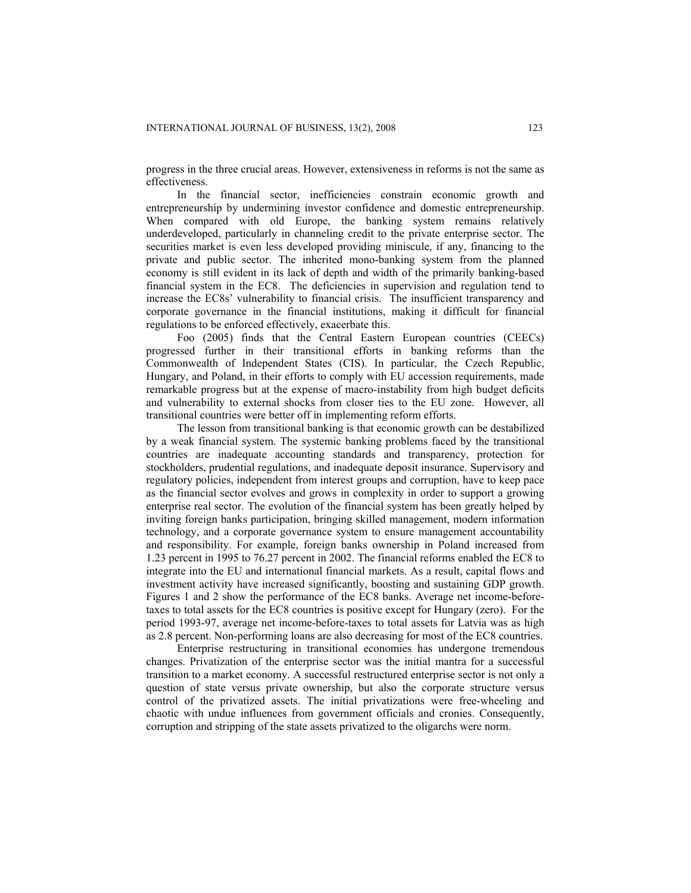progress in the three crucial areas. However, extensiveness in reforms is not the same as effectiveness.

In the financial sector, inefficiencies constrain economic growth and entrepreneurship by undermining investor confidence and domestic entrepreneurship. When compared with old Europe, the banking system remains relatively underdeveloped, particularly in channeling credit to the private enterprise sector. The securities market is even less developed providing miniscule, if any, financing to the private and public sector. The inherited mono-banking system from the planned economy is still evident in its lack of depth and width of the primarily banking-based financial system in the EC8. The deficiencies in supervision and regulation tend to increase the EC8s' vulnerability to financial crisis. The insufficient transparency and corporate governance in the financial institutions, making it difficult for financial regulations to be enforced effectively, exacerbate this.

Foo (2005) finds that the Central Eastern European countries (CEECs) progressed further in their transitional efforts in banking reforms than the Commonwealth of Independent States (CIS). In particular, the Czech Republic, Hungary, and Poland, in their efforts to comply with EU accession requirements, made remarkable progress but at the expense of macro-instability from high budget deficits and vulnerability to external shocks from closer ties to the EU zone. However, all transitional countries were better off in implementing reform efforts.

The lesson from transitional banking is that economic growth can be destabilized by a weak financial system. The systemic banking problems faced by the transitional countries are inadequate accounting standards and transparency, protection for stockholders, prudential regulations, and inadequate deposit insurance. Supervisory and regulatory policies, independent from interest groups and corruption, have to keep pace as the financial sector evolves and grows in complexity in order to support a growing enterprise real sector. The evolution of the financial system has been greatly helped by inviting foreign banks participation, bringing skilled management, modern information technology, and a corporate governance system to ensure management accountability and responsibility. For example, foreign banks ownership in Poland increased from 1.23 percent in 1995 to 76.27 percent in 2002. The financial reforms enabled the EC8 to integrate into the EU and international financial markets. As a result, capital flows and investment activity have increased significantly, boosting and sustaining GDP growth. Figures 1 and 2 show the performance of the EC8 banks. Average net income-beforetaxes to total assets for the EC8 countries is positive except for Hungary (zero). For the period 1993-97, average net income-before-taxes to total assets for Latvia was as high as 2.8 percent. Non-performing loans are also decreasing for most of the EC8 countries.

Enterprise restructuring in transitional economies has undergone tremendous changes. Privatization of the enterprise sector was the initial mantra for a successful transition to a market economy. A successful restructured enterprise sector is not only a question of state versus private ownership, but also the corporate structure versus control of the privatized assets. The initial privatizations were free-wheeling and chaotic with undue influences from government officials and cronies. Consequently, corruption and stripping of the state assets privatized to the oligarchs were norm.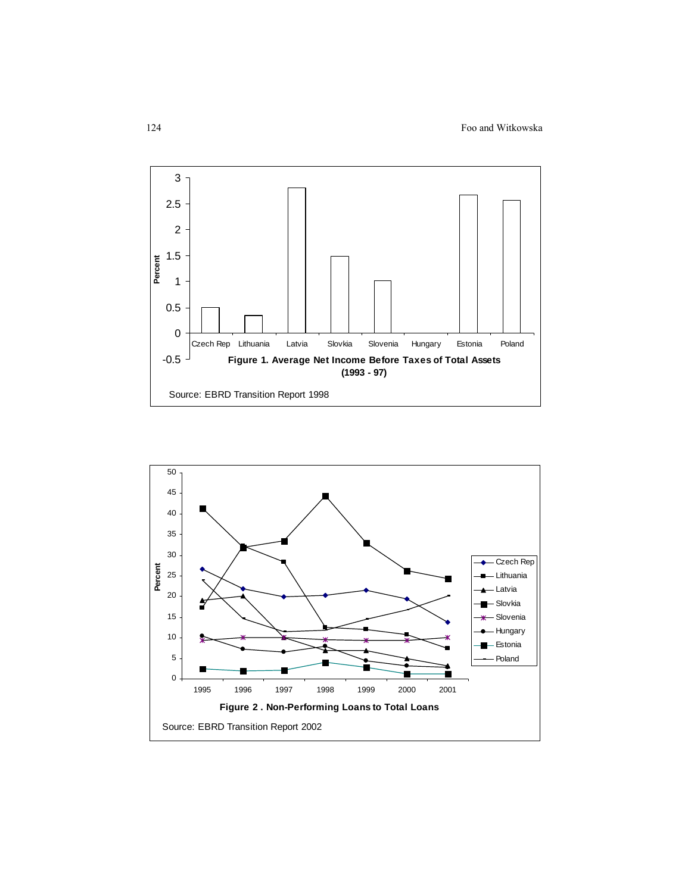

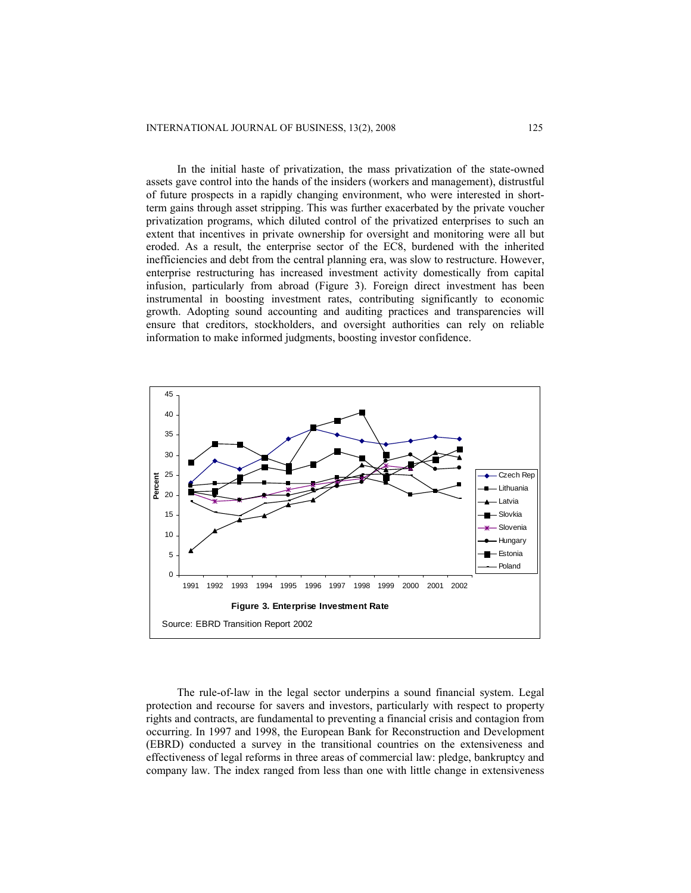In the initial haste of privatization, the mass privatization of the state-owned assets gave control into the hands of the insiders (workers and management), distrustful of future prospects in a rapidly changing environment, who were interested in shortterm gains through asset stripping. This was further exacerbated by the private voucher privatization programs, which diluted control of the privatized enterprises to such an extent that incentives in private ownership for oversight and monitoring were all but eroded. As a result, the enterprise sector of the EC8, burdened with the inherited inefficiencies and debt from the central planning era, was slow to restructure. However, enterprise restructuring has increased investment activity domestically from capital infusion, particularly from abroad (Figure 3). Foreign direct investment has been instrumental in boosting investment rates, contributing significantly to economic growth. Adopting sound accounting and auditing practices and transparencies will ensure that creditors, stockholders, and oversight authorities can rely on reliable information to make informed judgments, boosting investor confidence.



The rule-of-law in the legal sector underpins a sound financial system. Legal protection and recourse for savers and investors, particularly with respect to property rights and contracts, are fundamental to preventing a financial crisis and contagion from occurring. In 1997 and 1998, the European Bank for Reconstruction and Development (EBRD) conducted a survey in the transitional countries on the extensiveness and effectiveness of legal reforms in three areas of commercial law: pledge, bankruptcy and company law. The index ranged from less than one with little change in extensiveness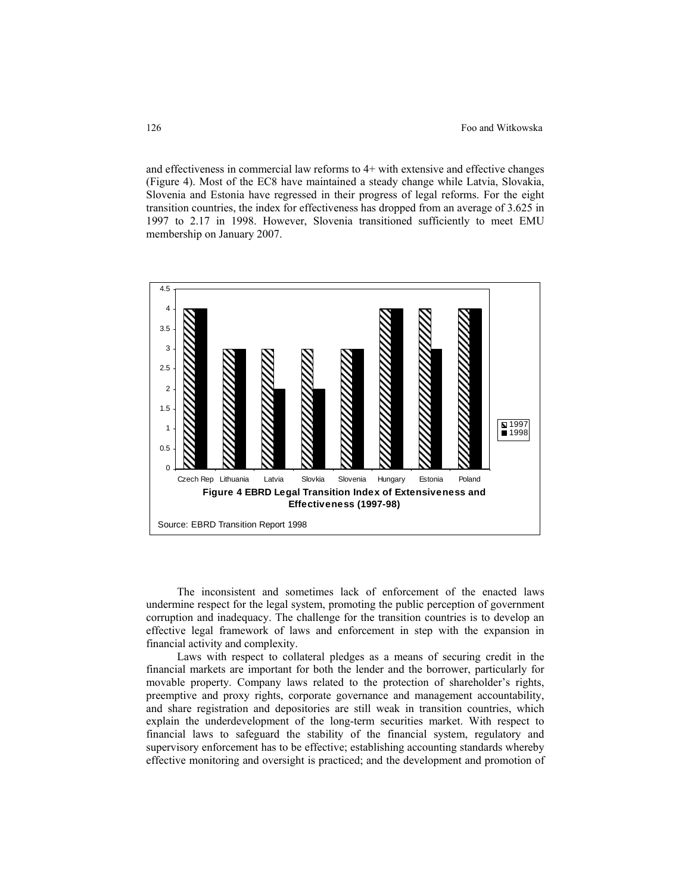and effectiveness in commercial law reforms to 4+ with extensive and effective changes (Figure 4). Most of the EC8 have maintained a steady change while Latvia, Slovakia, Slovenia and Estonia have regressed in their progress of legal reforms. For the eight transition countries, the index for effectiveness has dropped from an average of 3.625 in 1997 to 2.17 in 1998. However, Slovenia transitioned sufficiently to meet EMU membership on January 2007.



The inconsistent and sometimes lack of enforcement of the enacted laws undermine respect for the legal system, promoting the public perception of government corruption and inadequacy. The challenge for the transition countries is to develop an effective legal framework of laws and enforcement in step with the expansion in financial activity and complexity.

Laws with respect to collateral pledges as a means of securing credit in the financial markets are important for both the lender and the borrower, particularly for movable property. Company laws related to the protection of shareholder's rights, preemptive and proxy rights, corporate governance and management accountability, and share registration and depositories are still weak in transition countries, which explain the underdevelopment of the long-term securities market. With respect to financial laws to safeguard the stability of the financial system, regulatory and supervisory enforcement has to be effective; establishing accounting standards whereby effective monitoring and oversight is practiced; and the development and promotion of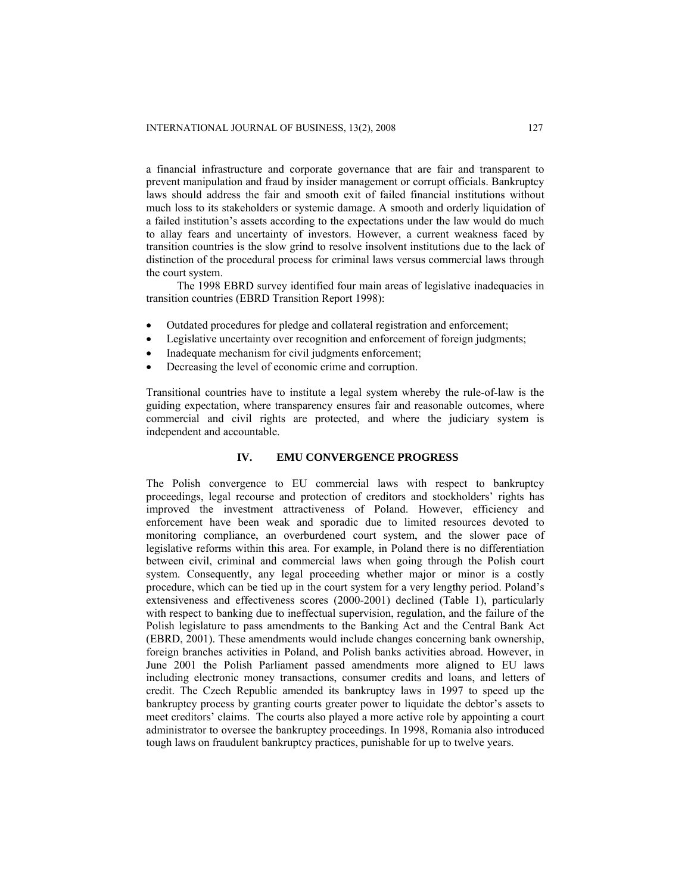a financial infrastructure and corporate governance that are fair and transparent to prevent manipulation and fraud by insider management or corrupt officials. Bankruptcy laws should address the fair and smooth exit of failed financial institutions without much loss to its stakeholders or systemic damage. A smooth and orderly liquidation of a failed institution's assets according to the expectations under the law would do much to allay fears and uncertainty of investors. However, a current weakness faced by transition countries is the slow grind to resolve insolvent institutions due to the lack of distinction of the procedural process for criminal laws versus commercial laws through the court system.

The 1998 EBRD survey identified four main areas of legislative inadequacies in transition countries (EBRD Transition Report 1998):

- Outdated procedures for pledge and collateral registration and enforcement;
- Legislative uncertainty over recognition and enforcement of foreign judgments;
- Inadequate mechanism for civil judgments enforcement;
- Decreasing the level of economic crime and corruption.

Transitional countries have to institute a legal system whereby the rule-of-law is the guiding expectation, where transparency ensures fair and reasonable outcomes, where commercial and civil rights are protected, and where the judiciary system is independent and accountable.

## **IV. EMU CONVERGENCE PROGRESS**

The Polish convergence to EU commercial laws with respect to bankruptcy proceedings, legal recourse and protection of creditors and stockholders' rights has improved the investment attractiveness of Poland. However, efficiency and enforcement have been weak and sporadic due to limited resources devoted to monitoring compliance, an overburdened court system, and the slower pace of legislative reforms within this area. For example, in Poland there is no differentiation between civil, criminal and commercial laws when going through the Polish court system. Consequently, any legal proceeding whether major or minor is a costly procedure, which can be tied up in the court system for a very lengthy period. Poland's extensiveness and effectiveness scores (2000-2001) declined (Table 1), particularly with respect to banking due to ineffectual supervision, regulation, and the failure of the Polish legislature to pass amendments to the Banking Act and the Central Bank Act (EBRD, 2001). These amendments would include changes concerning bank ownership, foreign branches activities in Poland, and Polish banks activities abroad. However, in June 2001 the Polish Parliament passed amendments more aligned to EU laws including electronic money transactions, consumer credits and loans, and letters of credit. The Czech Republic amended its bankruptcy laws in 1997 to speed up the bankruptcy process by granting courts greater power to liquidate the debtor's assets to meet creditors' claims. The courts also played a more active role by appointing a court administrator to oversee the bankruptcy proceedings. In 1998, Romania also introduced tough laws on fraudulent bankruptcy practices, punishable for up to twelve years.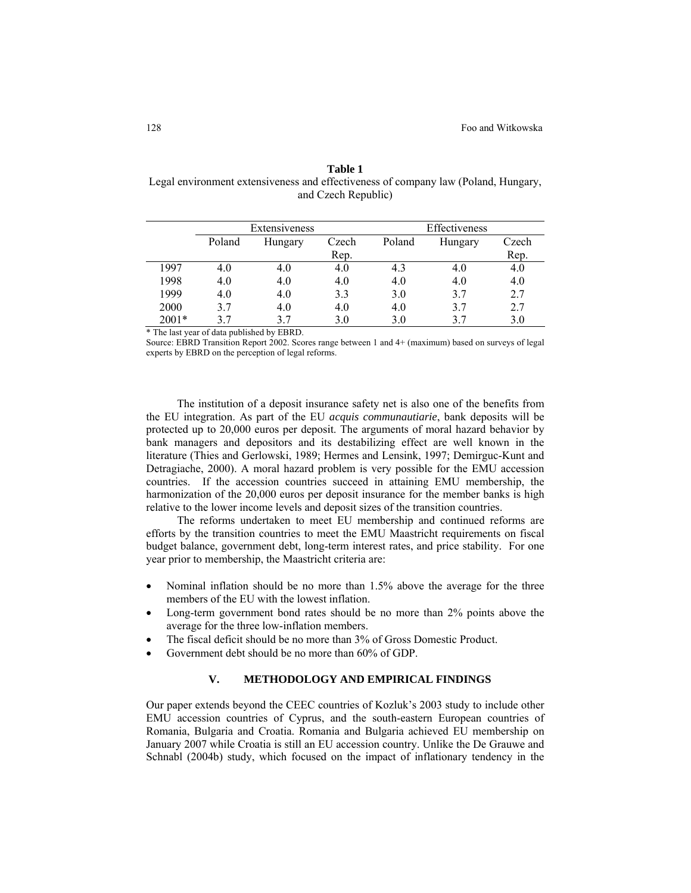### **Table 1**

Legal environment extensiveness and effectiveness of company law (Poland, Hungary, and Czech Republic)

|       | Extensiveness              |     |        | Effectiveness |       |      |
|-------|----------------------------|-----|--------|---------------|-------|------|
|       | Poland<br>Czech<br>Hungary |     | Poland | Hungary       | Czech |      |
|       |                            |     | Rep.   |               |       | Rep. |
| 1997  | 4.0                        | 4.0 | 4.0    | 4.3           | 4.0   | 4.0  |
| 1998  | 4.0                        | 4.0 | 4.0    | 4.0           | 4.0   | 4.0  |
| 1999  | 4.0                        | 4.0 | 3.3    | 3.0           | 3.7   | 2.7  |
| 2000  | 3.7                        | 4.0 | 4.0    | 4.0           | 3.7   | 2.7  |
| 2001* | 37                         | 3.7 | 3.0    | 3.0           | 3.7   | 3.0  |

\* The last year of data published by EBRD.

Source: EBRD Transition Report 2002. Scores range between 1 and 4+ (maximum) based on surveys of legal experts by EBRD on the perception of legal reforms.

The institution of a deposit insurance safety net is also one of the benefits from the EU integration. As part of the EU *acquis communautiarie*, bank deposits will be protected up to 20,000 euros per deposit. The arguments of moral hazard behavior by bank managers and depositors and its destabilizing effect are well known in the literature (Thies and Gerlowski, 1989; Hermes and Lensink, 1997; Demirguc-Kunt and Detragiache, 2000). A moral hazard problem is very possible for the EMU accession countries. If the accession countries succeed in attaining EMU membership, the harmonization of the 20,000 euros per deposit insurance for the member banks is high relative to the lower income levels and deposit sizes of the transition countries.

The reforms undertaken to meet EU membership and continued reforms are efforts by the transition countries to meet the EMU Maastricht requirements on fiscal budget balance, government debt, long-term interest rates, and price stability. For one year prior to membership, the Maastricht criteria are:

- Nominal inflation should be no more than 1.5% above the average for the three members of the EU with the lowest inflation.
- Long-term government bond rates should be no more than 2% points above the average for the three low-inflation members.
- The fiscal deficit should be no more than 3% of Gross Domestic Product.
- Government debt should be no more than 60% of GDP.

# **V. METHODOLOGY AND EMPIRICAL FINDINGS**

Our paper extends beyond the CEEC countries of Kozluk's 2003 study to include other EMU accession countries of Cyprus, and the south-eastern European countries of Romania, Bulgaria and Croatia. Romania and Bulgaria achieved EU membership on January 2007 while Croatia is still an EU accession country. Unlike the De Grauwe and Schnabl (2004b) study, which focused on the impact of inflationary tendency in the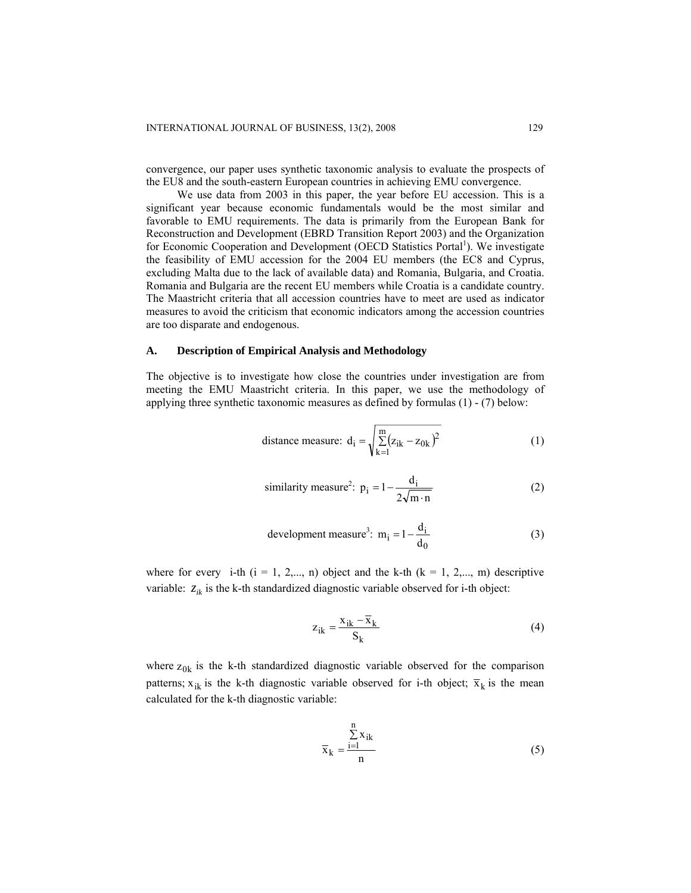convergence, our paper uses synthetic taxonomic analysis to evaluate the prospects of the EU8 and the south-eastern European countries in achieving EMU convergence.

We use data from 2003 in this paper, the year before EU accession. This is a significant year because economic fundamentals would be the most similar and favorable to EMU requirements. The data is primarily from the European Bank for Reconstruction and Development (EBRD Transition Report 2003) and the Organization for Economic Cooperation and Development (OECD Statistics Portal<sup>1</sup>). We investigate the feasibility of EMU accession for the 2004 EU members (the EC8 and Cyprus, excluding Malta due to the lack of available data) and Romania, Bulgaria, and Croatia. Romania and Bulgaria are the recent EU members while Croatia is a candidate country. The Maastricht criteria that all accession countries have to meet are used as indicator measures to avoid the criticism that economic indicators among the accession countries are too disparate and endogenous.

### **A. Description of Empirical Analysis and Methodology**

The objective is to investigate how close the countries under investigation are from meeting the EMU Maastricht criteria. In this paper, we use the methodology of applying three synthetic taxonomic measures as defined by formulas (1) - (7) below:

distance measure: 
$$
d_i = \sqrt{\sum_{k=1}^{m} (z_{ik} - z_{0k})^2}
$$
 (1)

similarity measure<sup>2</sup>: 
$$
p_i = 1 - \frac{d_i}{2\sqrt{m \cdot n}}
$$
 (2)

development measure<sup>3</sup>: 
$$
m_i = 1 - \frac{d_i}{d_0}
$$
 (3)

where for every i-th  $(i = 1, 2,..., n)$  object and the k-th  $(k = 1, 2,..., m)$  descriptive variable:  $z_{ik}$  is the k-th standardized diagnostic variable observed for i-th object:

$$
z_{ik} = \frac{x_{ik} - \overline{x}_k}{S_k}
$$
 (4)

where  $z_{0k}$  is the k-th standardized diagnostic variable observed for the comparison patterns;  $x_{ik}$  is the k-th diagnostic variable observed for i-th object;  $\bar{x}_k$  is the mean calculated for the k-th diagnostic variable:

$$
\overline{x}_{k} = \frac{\sum_{i=1}^{n} x_{ik}}{n}
$$
 (5)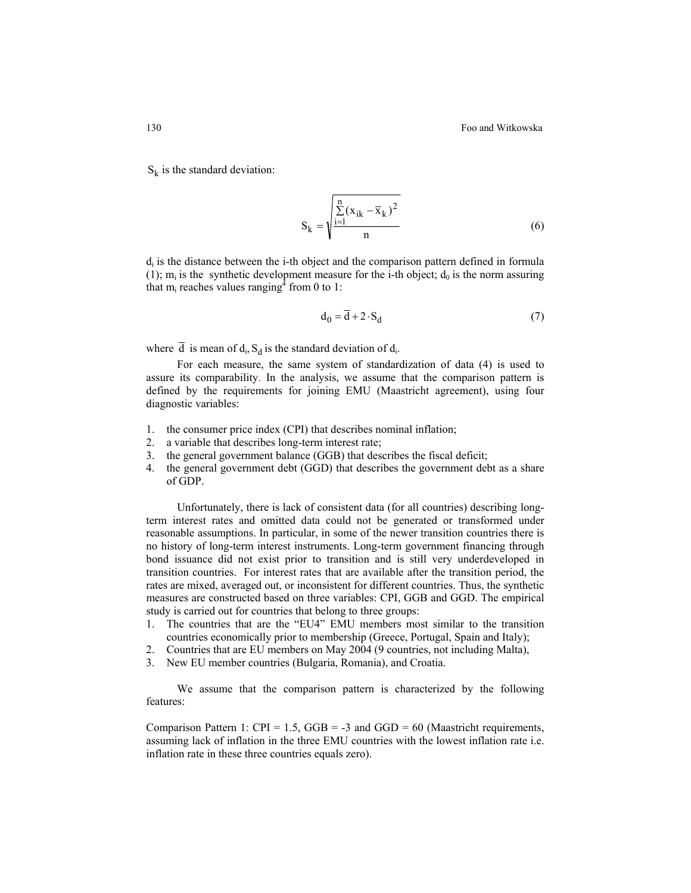$S_k$  is the standard deviation:

$$
S_k = \sqrt{\frac{\sum_{i=1}^{n} (x_{ik} - \overline{x}_k)^2}{n}}
$$
 (6)

 $d_i$  is the distance between the i-th object and the comparison pattern defined in formula (1);  $m_i$  is the synthetic development measure for the i-th object;  $d_0$  is the norm assuring that  $m_i$  reaches values ranging<sup>4</sup> from 0 to 1:

$$
d_0 = \overline{d} + 2 \cdot S_d \tag{7}
$$

where  $\overline{d}$  is mean of  $d_i$ ,  $S_d$  is the standard deviation of  $d_i$ .

For each measure, the same system of standardization of data (4) is used to assure its comparability. In the analysis, we assume that the comparison pattern is defined by the requirements for joining EMU (Maastricht agreement), using four diagnostic variables:

- 1. the consumer price index (CPI) that describes nominal inflation;
- 2. a variable that describes long-term interest rate;
- 3. the general government balance (GGB) that describes the fiscal deficit;
- 4. the general government debt (GGD) that describes the government debt as a share of GDP.

Unfortunately, there is lack of consistent data (for all countries) describing longterm interest rates and omitted data could not be generated or transformed under reasonable assumptions. In particular, in some of the newer transition countries there is no history of long-term interest instruments. Long-term government financing through bond issuance did not exist prior to transition and is still very underdeveloped in transition countries. For interest rates that are available after the transition period, the rates are mixed, averaged out, or inconsistent for different countries. Thus, the synthetic measures are constructed based on three variables: CPI, GGB and GGD. The empirical study is carried out for countries that belong to three groups:

- 1. The countries that are the "EU4" EMU members most similar to the transition countries economically prior to membership (Greece, Portugal, Spain and Italy);
- 2. Countries that are EU members on May 2004 (9 countries, not including Malta),
- 3. New EU member countries (Bulgaria, Romania), and Croatia.

We assume that the comparison pattern is characterized by the following features:

Comparison Pattern 1:  $CPI = 1.5$ ,  $GGB = -3$  and  $GGD = 60$  (Maastricht requirements, assuming lack of inflation in the three EMU countries with the lowest inflation rate i.e. inflation rate in these three countries equals zero).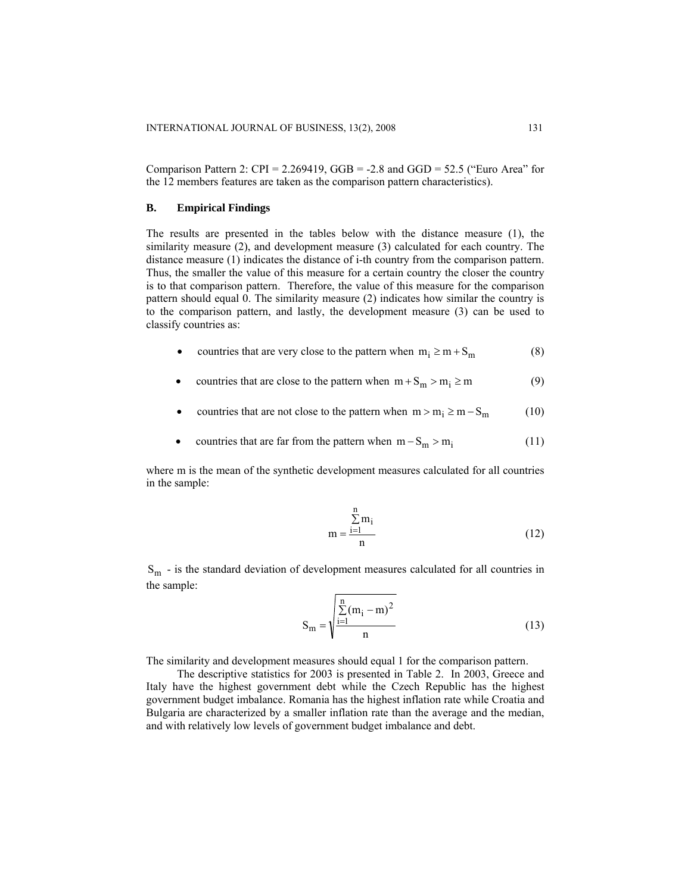Comparison Pattern 2: CPI =  $2.269419$ , GGB =  $-2.8$  and GGD =  $52.5$  ("Euro Area" for the 12 members features are taken as the comparison pattern characteristics).

### **B. Empirical Findings**

The results are presented in the tables below with the distance measure (1), the similarity measure (2), and development measure (3) calculated for each country. The distance measure (1) indicates the distance of i-th country from the comparison pattern. Thus, the smaller the value of this measure for a certain country the closer the country is to that comparison pattern. Therefore, the value of this measure for the comparison pattern should equal 0. The similarity measure (2) indicates how similar the country is to the comparison pattern, and lastly, the development measure (3) can be used to classify countries as:

- countries that are very close to the pattern when  $m_i \ge m + S_m$  (8)
- countries that are close to the pattern when  $m + S_m > m_i \ge m$  (9)
- countries that are not close to the pattern when  $m > m_i \ge m S_m$  (10)
- countries that are far from the pattern when  $m S_m > m_i$  (11)

where m is the mean of the synthetic development measures calculated for all countries in the sample:

$$
m = \frac{\sum_{i=1}^{n} m_i}{n}
$$
 (12)

 $S<sub>m</sub>$  - is the standard deviation of development measures calculated for all countries in the sample:

$$
S_{m} = \sqrt{\frac{\sum_{i=1}^{n} (m_{i} - m)^{2}}{n}}
$$
 (13)

The similarity and development measures should equal 1 for the comparison pattern.

The descriptive statistics for 2003 is presented in Table 2. In 2003, Greece and Italy have the highest government debt while the Czech Republic has the highest government budget imbalance. Romania has the highest inflation rate while Croatia and Bulgaria are characterized by a smaller inflation rate than the average and the median, and with relatively low levels of government budget imbalance and debt.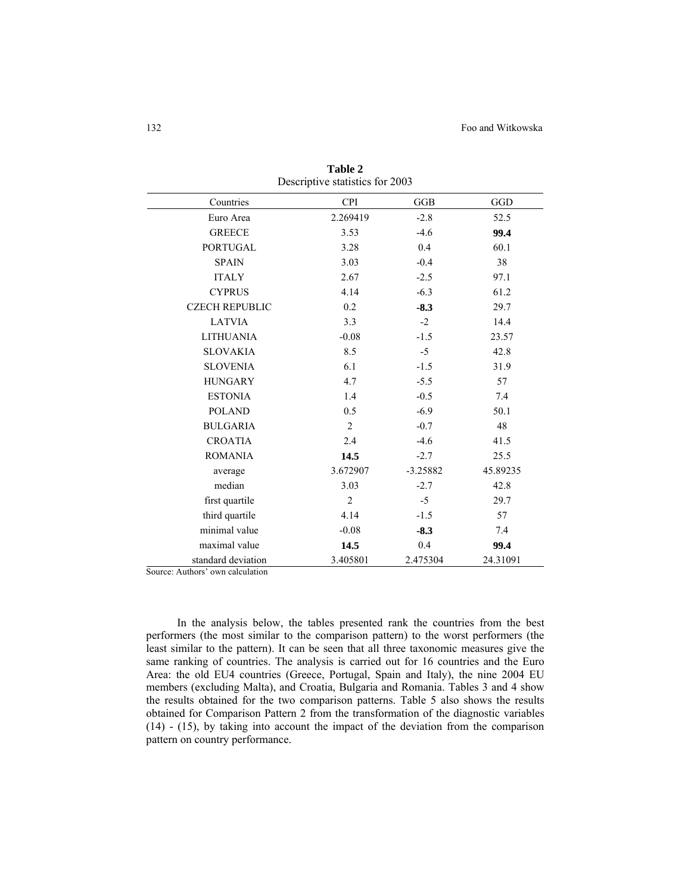| $Besselputve$ statistics for $2005$ |                |              |          |  |  |
|-------------------------------------|----------------|--------------|----------|--|--|
| Countries                           | <b>CPI</b>     | $_{\rm GGB}$ | GGD      |  |  |
| Euro Area                           | 2.269419       | $-2.8$       | 52.5     |  |  |
| <b>GREECE</b>                       | 3.53           | $-4.6$       | 99.4     |  |  |
| <b>PORTUGAL</b>                     | 3.28           | 0.4          | 60.1     |  |  |
| <b>SPAIN</b>                        | 3.03           | $-0.4$       | 38       |  |  |
| <b>ITALY</b>                        | 2.67           | $-2.5$       | 97.1     |  |  |
| <b>CYPRUS</b>                       | 4.14           | $-6.3$       | 61.2     |  |  |
| <b>CZECH REPUBLIC</b>               | 0.2            | $-8.3$       | 29.7     |  |  |
| <b>LATVIA</b>                       | 3.3            | $-2$         | 14.4     |  |  |
| <b>LITHUANIA</b>                    | $-0.08$        | $-1.5$       | 23.57    |  |  |
| <b>SLOVAKIA</b>                     | 8.5            | $-5$         | 42.8     |  |  |
| <b>SLOVENIA</b>                     | 6.1            | $-1.5$       | 31.9     |  |  |
| <b>HUNGARY</b>                      | 4.7            | $-5.5$       | 57       |  |  |
| <b>ESTONIA</b>                      | 1.4            | $-0.5$       | $7.4\,$  |  |  |
| <b>POLAND</b>                       | 0.5            | $-6.9$       | 50.1     |  |  |
| <b>BULGARIA</b>                     | $\overline{c}$ | $-0.7$       | 48       |  |  |
| <b>CROATIA</b>                      | 2.4            | $-4.6$       | 41.5     |  |  |
| <b>ROMANIA</b>                      | 14.5           | $-2.7$       | 25.5     |  |  |
| average                             | 3.672907       | $-3.25882$   | 45.89235 |  |  |
| median                              | 3.03           | $-2.7$       | 42.8     |  |  |
| first quartile                      | $\overline{2}$ | $-5$         | 29.7     |  |  |
| third quartile                      | 4.14           | $-1.5$       | 57       |  |  |
| minimal value                       | $-0.08$        | $-8.3$       | 7.4      |  |  |
| maximal value                       | 14.5           | 0.4          | 99.4     |  |  |
| standard deviation                  | 3.405801       | 2.475304     | 24.31091 |  |  |

**Table 2**  Descriptive statistics for 2003

Source: Authors' own calculation

In the analysis below, the tables presented rank the countries from the best performers (the most similar to the comparison pattern) to the worst performers (the least similar to the pattern). It can be seen that all three taxonomic measures give the same ranking of countries. The analysis is carried out for 16 countries and the Euro Area: the old EU4 countries (Greece, Portugal, Spain and Italy), the nine 2004 EU members (excluding Malta), and Croatia, Bulgaria and Romania. Tables 3 and 4 show the results obtained for the two comparison patterns. Table 5 also shows the results obtained for Comparison Pattern 2 from the transformation of the diagnostic variables (14) - (15), by taking into account the impact of the deviation from the comparison pattern on country performance.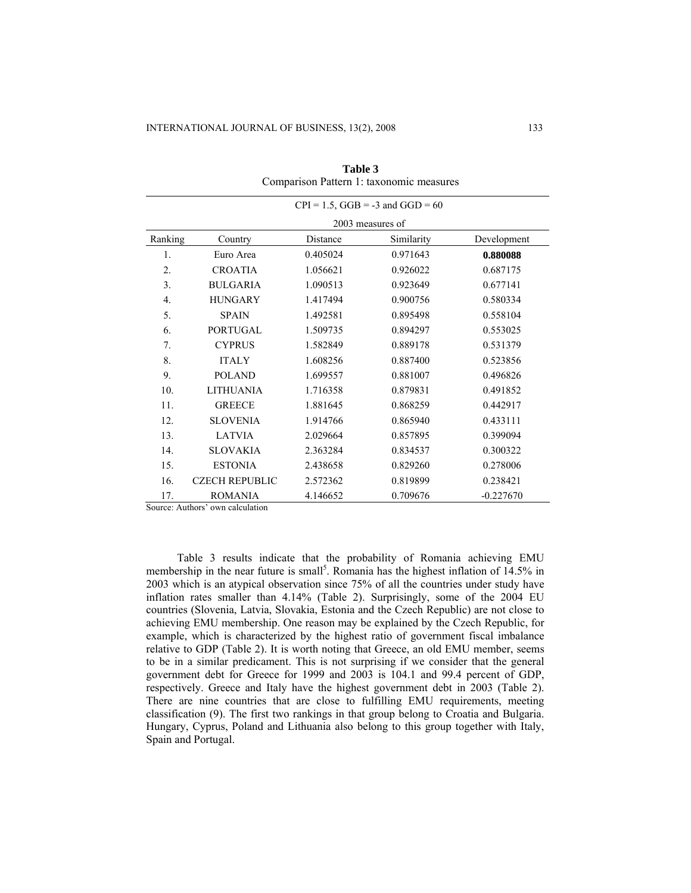|                  | $CPI = 1.5$ , $GGB = -3$ and $GGD = 60$ |          |            |             |  |
|------------------|-----------------------------------------|----------|------------|-------------|--|
|                  | 2003 measures of                        |          |            |             |  |
| Ranking          | Country                                 | Distance | Similarity | Development |  |
| 1.               | Euro Area                               | 0.405024 | 0.971643   | 0.880088    |  |
| 2.               | <b>CROATIA</b>                          | 1.056621 | 0.926022   | 0.687175    |  |
| 3.               | <b>BULGARIA</b>                         | 1.090513 | 0.923649   | 0.677141    |  |
| $\overline{4}$ . | <b>HUNGARY</b>                          | 1.417494 | 0.900756   | 0.580334    |  |
| 5.               | <b>SPAIN</b>                            | 1.492581 | 0.895498   | 0.558104    |  |
| 6.               | <b>PORTUGAL</b>                         | 1.509735 | 0.894297   | 0.553025    |  |
| 7.               | <b>CYPRUS</b>                           | 1.582849 | 0.889178   | 0.531379    |  |
| 8.               | <b>ITALY</b>                            | 1.608256 | 0.887400   | 0.523856    |  |
| 9.               | <b>POLAND</b>                           | 1.699557 | 0.881007   | 0.496826    |  |
| 10.              | <b>LITHUANIA</b>                        | 1.716358 | 0.879831   | 0.491852    |  |
| 11.              | <b>GREECE</b>                           | 1.881645 | 0.868259   | 0.442917    |  |
| 12.              | <b>SLOVENIA</b>                         | 1.914766 | 0.865940   | 0.433111    |  |
| 13.              | <b>LATVIA</b>                           | 2.029664 | 0.857895   | 0.399094    |  |
| 14.              | <b>SLOVAKIA</b>                         | 2.363284 | 0.834537   | 0.300322    |  |
| 15.              | <b>ESTONIA</b>                          | 2.438658 | 0.829260   | 0.278006    |  |
| 16.              | <b>CZECH REPUBLIC</b>                   | 2.572362 | 0.819899   | 0.238421    |  |
| 17.              | <b>ROMANIA</b>                          | 4.146652 | 0.709676   | $-0.227670$ |  |

**Table 3**  Comparison Pattern 1: taxonomic measures

Source: Authors' own calculation

Table 3 results indicate that the probability of Romania achieving EMU membership in the near future is small<sup>5</sup>. Romania has the highest inflation of  $14.5\%$  in 2003 which is an atypical observation since 75% of all the countries under study have inflation rates smaller than 4.14% (Table 2). Surprisingly, some of the 2004 EU countries (Slovenia, Latvia, Slovakia, Estonia and the Czech Republic) are not close to achieving EMU membership. One reason may be explained by the Czech Republic, for example, which is characterized by the highest ratio of government fiscal imbalance relative to GDP (Table 2). It is worth noting that Greece, an old EMU member, seems to be in a similar predicament. This is not surprising if we consider that the general government debt for Greece for 1999 and 2003 is 104.1 and 99.4 percent of GDP, respectively. Greece and Italy have the highest government debt in 2003 (Table 2). There are nine countries that are close to fulfilling EMU requirements, meeting classification (9). The first two rankings in that group belong to Croatia and Bulgaria. Hungary, Cyprus, Poland and Lithuania also belong to this group together with Italy, Spain and Portugal.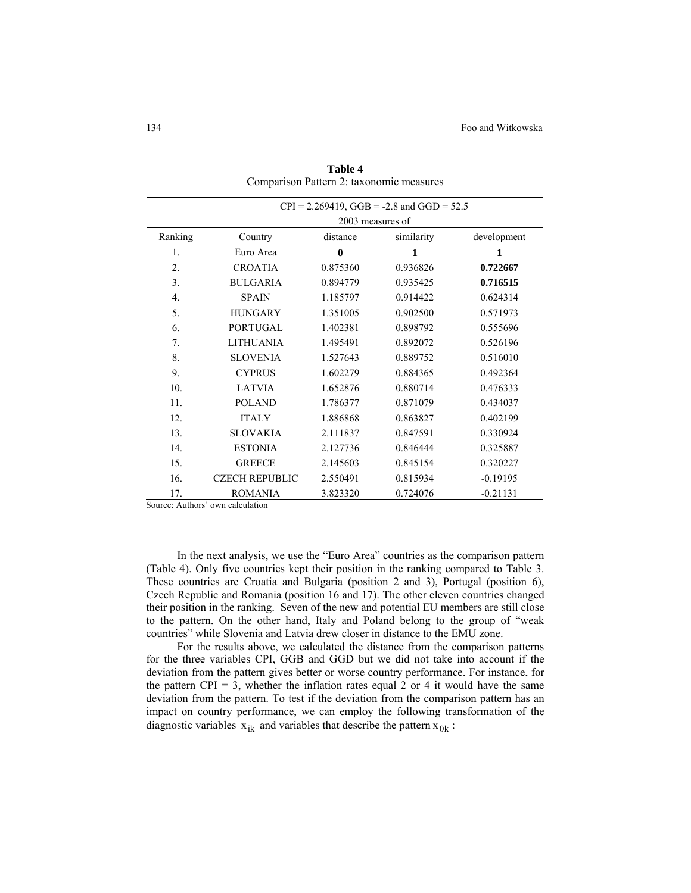|         | $CPI = 2.269419$ , $GGB = -2.8$ and $GGD = 52.5$ |              |            |             |  |
|---------|--------------------------------------------------|--------------|------------|-------------|--|
|         | 2003 measures of                                 |              |            |             |  |
| Ranking | Country                                          | distance     | similarity | development |  |
| 1.      | Euro Area                                        | $\mathbf{0}$ | 1          | 1           |  |
| 2.      | <b>CROATIA</b>                                   | 0.875360     | 0.936826   | 0.722667    |  |
| 3.      | <b>BULGARIA</b>                                  | 0.894779     | 0.935425   | 0.716515    |  |
| 4.      | <b>SPAIN</b>                                     | 1.185797     | 0.914422   | 0.624314    |  |
| 5.      | <b>HUNGARY</b>                                   | 1.351005     | 0.902500   | 0.571973    |  |
| 6.      | PORTUGAL                                         | 1.402381     | 0.898792   | 0.555696    |  |
| 7.      | LITHUANIA                                        | 1.495491     | 0.892072   | 0.526196    |  |
| 8.      | <b>SLOVENIA</b>                                  | 1.527643     | 0.889752   | 0.516010    |  |
| 9.      | <b>CYPRUS</b>                                    | 1.602279     | 0.884365   | 0.492364    |  |
| 10.     | <b>LATVIA</b>                                    | 1.652876     | 0.880714   | 0.476333    |  |
| 11.     | <b>POLAND</b>                                    | 1.786377     | 0.871079   | 0.434037    |  |
| 12.     | <b>ITALY</b>                                     | 1.886868     | 0.863827   | 0.402199    |  |
| 13.     | <b>SLOVAKIA</b>                                  | 2.111837     | 0.847591   | 0.330924    |  |
| 14.     | <b>ESTONIA</b>                                   | 2.127736     | 0.846444   | 0.325887    |  |
| 15.     | <b>GREECE</b>                                    | 2.145603     | 0.845154   | 0.320227    |  |
| 16.     | <b>CZECH REPUBLIC</b>                            | 2.550491     | 0.815934   | $-0.19195$  |  |
| 17.     | <b>ROMANIA</b>                                   | 3.823320     | 0.724076   | $-0.21131$  |  |

**Table 4**  Comparison Pattern 2: taxonomic measures

Source: Authors' own calculation

In the next analysis, we use the "Euro Area" countries as the comparison pattern (Table 4). Only five countries kept their position in the ranking compared to Table 3. These countries are Croatia and Bulgaria (position 2 and 3), Portugal (position 6), Czech Republic and Romania (position 16 and 17). The other eleven countries changed their position in the ranking. Seven of the new and potential EU members are still close to the pattern. On the other hand, Italy and Poland belong to the group of "weak countries" while Slovenia and Latvia drew closer in distance to the EMU zone.

For the results above, we calculated the distance from the comparison patterns for the three variables CPI, GGB and GGD but we did not take into account if the deviation from the pattern gives better or worse country performance. For instance, for the pattern CPI = 3, whether the inflation rates equal 2 or 4 it would have the same deviation from the pattern. To test if the deviation from the comparison pattern has an impact on country performance, we can employ the following transformation of the diagnostic variables  $x_{ik}$  and variables that describe the pattern  $x_{0k}$ :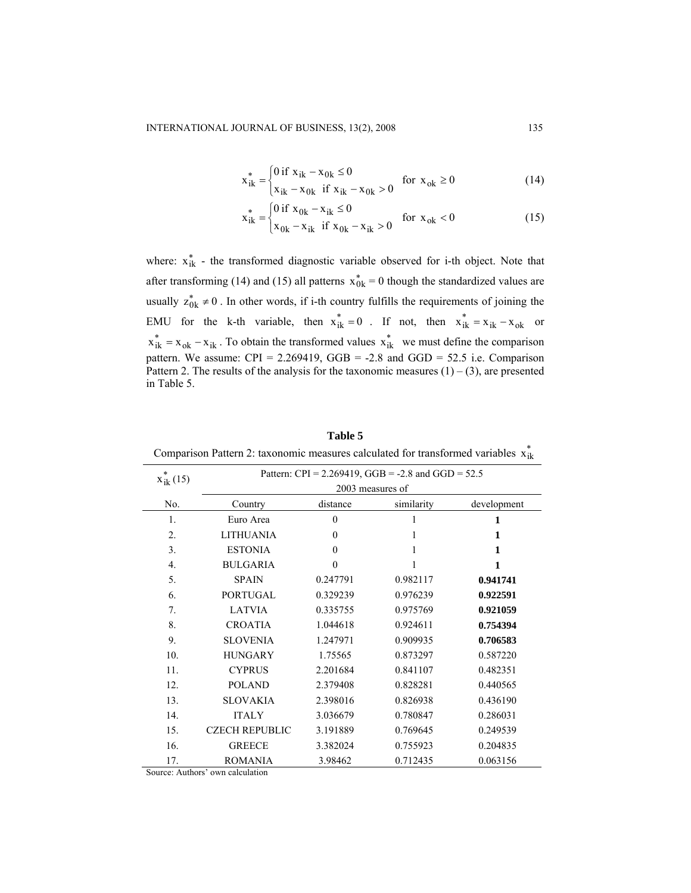$$
x_{ik}^{*} =\begin{cases} 0 \text{ if } x_{ik} - x_{0k} \le 0\\ x_{ik} - x_{0k} \text{ if } x_{ik} - x_{0k} > 0 \end{cases} \text{ for } x_{0k} \ge 0
$$
 (14)

$$
x_{ik}^{*} =\begin{cases} 0 \text{ if } x_{0k} - x_{ik} \le 0\\ x_{0k} - x_{ik} \text{ if } x_{0k} - x_{ik} > 0 \end{cases} \text{ for } x_{0k} < 0
$$
 (15)

where:  $x_{ik}^*$  - the transformed diagnostic variable observed for i-th object. Note that after transforming (14) and (15) all patterns  $x_{0k}^* = 0$  though the standardized values are usually  $z_{0k}^* \neq 0$ . In other words, if i-th country fulfills the requirements of joining the EMU for the k-th variable, then  $x_{ik}^* = 0$ . If not, then  $x_{ik}^* = x_{ik} - x_{ok}$  or  $x_{ik}^* = x_{ok} - x_{ik}$ . To obtain the transformed values  $x_{ik}^*$  we must define the comparison pattern. We assume:  $CPI = 2.269419$ ,  $GGB = -2.8$  and  $GGD = 52.5$  i.e. Comparison Pattern 2. The results of the analysis for the taxonomic measures  $(1) - (3)$ , are presented in Table 5.

| $\ast$           | Pattern: CPI = $2.269419$ , GGB = $-2.8$ and GGD = $52.5$ |                        |          |             |  |  |
|------------------|-----------------------------------------------------------|------------------------|----------|-------------|--|--|
| $x_{ik}$ (15)    | 2003 measures of                                          |                        |          |             |  |  |
| No.              | Country                                                   | distance<br>similarity |          | development |  |  |
| 1.               | Euro Area                                                 | $\mathbf{0}$           | 1        | 1           |  |  |
| 2.               | <b>LITHUANIA</b>                                          | $\mathbf{0}$           | 1        | 1           |  |  |
| 3.               | <b>ESTONIA</b>                                            | $\boldsymbol{0}$       | 1        | 1           |  |  |
| $\overline{4}$ . | <b>BULGARIA</b>                                           | $\mathbf{0}$           |          |             |  |  |
| 5.               | <b>SPAIN</b>                                              | 0.247791               | 0.982117 | 0.941741    |  |  |
| 6.               | <b>PORTUGAL</b>                                           | 0.329239               | 0.976239 | 0.922591    |  |  |
| 7.               | <b>LATVIA</b>                                             | 0.335755               | 0.975769 | 0.921059    |  |  |
| 8.               | <b>CROATIA</b>                                            | 1.044618               | 0.924611 | 0.754394    |  |  |
| 9.               | <b>SLOVENIA</b>                                           | 1.247971               | 0.909935 | 0.706583    |  |  |
| 10.              | <b>HUNGARY</b>                                            | 1.75565                | 0.873297 | 0.587220    |  |  |
| 11.              | <b>CYPRUS</b>                                             | 2.201684               | 0.841107 | 0.482351    |  |  |
| 12.              | <b>POLAND</b>                                             | 2.379408               | 0.828281 | 0.440565    |  |  |
| 13.              | SLOVAKIA                                                  | 2.398016               | 0.826938 | 0.436190    |  |  |
| 14.              | <b>ITALY</b>                                              | 3.036679               | 0.780847 | 0.286031    |  |  |
| 15.              | <b>CZECH REPUBLIC</b>                                     | 3.191889               | 0.769645 | 0.249539    |  |  |
| 16.              | <b>GREECE</b>                                             | 3.382024               | 0.755923 | 0.204835    |  |  |
| 17.              | <b>ROMANIA</b>                                            | 3.98462                | 0.712435 | 0.063156    |  |  |

**Table 5**  Comparison Pattern 2: taxonomic measures calculated for transformed variables  $x_{ik}^*$ 

Source: Authors' own calculation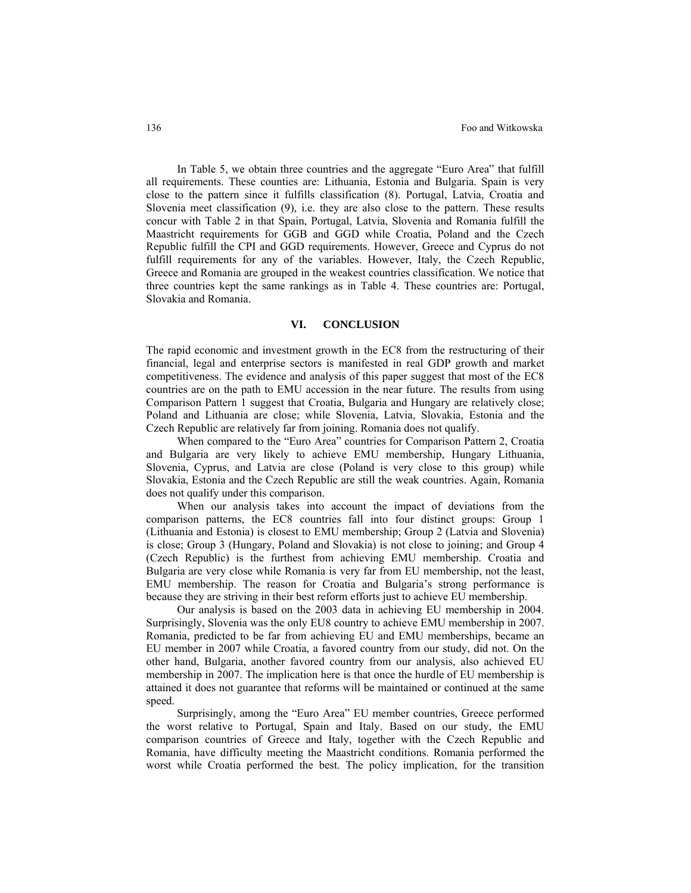In Table 5, we obtain three countries and the aggregate "Euro Area" that fulfill all requirements. These counties are: Lithuania, Estonia and Bulgaria. Spain is very close to the pattern since it fulfills classification (8). Portugal, Latvia, Croatia and Slovenia meet classification (9), i.e. they are also close to the pattern. These results concur with Table 2 in that Spain, Portugal, Latvia, Slovenia and Romania fulfill the Maastricht requirements for GGB and GGD while Croatia, Poland and the Czech Republic fulfill the CPI and GGD requirements. However, Greece and Cyprus do not fulfill requirements for any of the variables. However, Italy, the Czech Republic, Greece and Romania are grouped in the weakest countries classification. We notice that three countries kept the same rankings as in Table 4. These countries are: Portugal, Slovakia and Romania.

### **VI. CONCLUSION**

The rapid economic and investment growth in the EC8 from the restructuring of their financial, legal and enterprise sectors is manifested in real GDP growth and market competitiveness. The evidence and analysis of this paper suggest that most of the EC8 countries are on the path to EMU accession in the near future. The results from using Comparison Pattern 1 suggest that Croatia, Bulgaria and Hungary are relatively close; Poland and Lithuania are close; while Slovenia, Latvia, Slovakia, Estonia and the Czech Republic are relatively far from joining. Romania does not qualify.

When compared to the "Euro Area" countries for Comparison Pattern 2, Croatia and Bulgaria are very likely to achieve EMU membership, Hungary Lithuania, Slovenia, Cyprus, and Latvia are close (Poland is very close to this group) while Slovakia, Estonia and the Czech Republic are still the weak countries. Again, Romania does not qualify under this comparison.

When our analysis takes into account the impact of deviations from the comparison patterns, the EC8 countries fall into four distinct groups: Group 1 (Lithuania and Estonia) is closest to EMU membership; Group 2 (Latvia and Slovenia) is close; Group 3 (Hungary, Poland and Slovakia) is not close to joining; and Group 4 (Czech Republic) is the furthest from achieving EMU membership. Croatia and Bulgaria are very close while Romania is very far from EU membership, not the least, EMU membership. The reason for Croatia and Bulgaria's strong performance is because they are striving in their best reform efforts just to achieve EU membership.

Our analysis is based on the 2003 data in achieving EU membership in 2004. Surprisingly, Slovenia was the only EU8 country to achieve EMU membership in 2007. Romania, predicted to be far from achieving EU and EMU memberships, became an EU member in 2007 while Croatia, a favored country from our study, did not. On the other hand, Bulgaria, another favored country from our analysis, also achieved EU membership in 2007. The implication here is that once the hurdle of EU membership is attained it does not guarantee that reforms will be maintained or continued at the same speed.

Surprisingly, among the "Euro Area" EU member countries, Greece performed the worst relative to Portugal, Spain and Italy. Based on our study, the EMU comparison countries of Greece and Italy, together with the Czech Republic and Romania, have difficulty meeting the Maastricht conditions. Romania performed the worst while Croatia performed the best. The policy implication, for the transition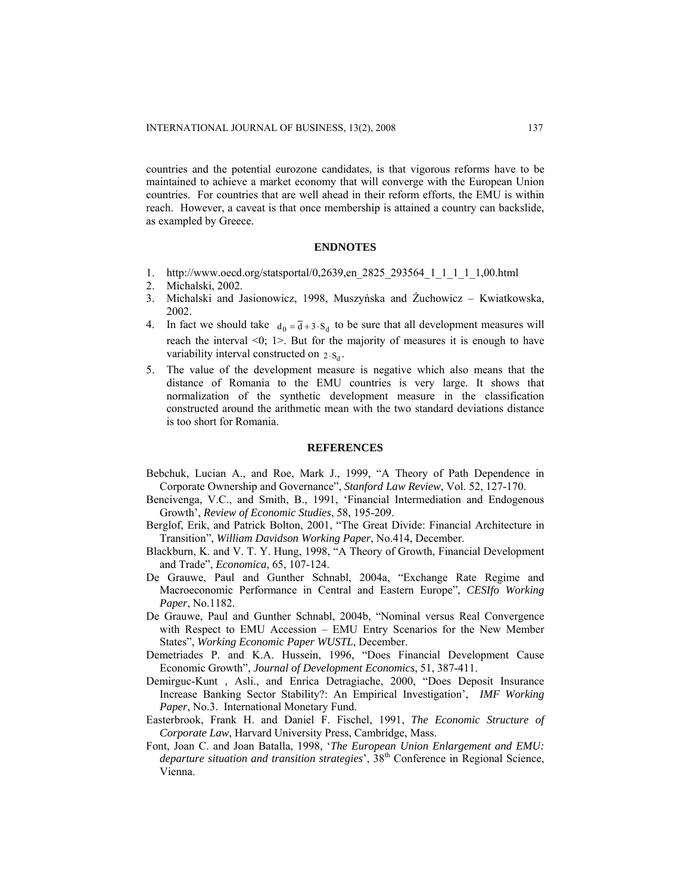countries and the potential eurozone candidates, is that vigorous reforms have to be maintained to achieve a market economy that will converge with the European Union countries. For countries that are well ahead in their reform efforts, the EMU is within reach. However, a caveat is that once membership is attained a country can backslide, as exampled by Greece.

### **ENDNOTES**

- 1. http://www.oecd.org/statsportal/0,2639,en\_2825\_293564\_1\_1\_1\_1\_1,00.html
- 2. Michalski, 2002.
- 3. Michalski and Jasionowicz, 1998, Muszyńska and Żuchowicz Kwiatkowska, 2002.
- 4. In fact we should take  $d_0 = \overline{d} + 3 \cdot S_d$  to be sure that all development measures will reach the interval <0; 1>. But for the majority of measures it is enough to have variability interval constructed on  $2 \cdot S_d$ .
- 5. The value of the development measure is negative which also means that the distance of Romania to the EMU countries is very large. It shows that normalization of the synthetic development measure in the classification constructed around the arithmetic mean with the two standard deviations distance is too short for Romania.

### **REFERENCES**

- Bebchuk, Lucian A., and Roe, Mark J., 1999, "A Theory of Path Dependence in Corporate Ownership and Governance", *Stanford Law Review*, Vol. 52, 127-170.
- Bencivenga, V.C., and Smith, B., 1991, 'Financial Intermediation and Endogenous Growth', *Review of Economic Studies*, 58, 195-209.
- Berglof, Erik, and Patrick Bolton, 2001, "The Great Divide: Financial Architecture in Transition", *William Davidson Working Paper*, No.414, December.
- Blackburn, K. and V. T. Y. Hung, 1998, "A Theory of Growth, Financial Development and Trade", *Economica*, 65, 107-124.
- De Grauwe, Paul and Gunther Schnabl, 2004a, "Exchange Rate Regime and Macroeconomic Performance in Central and Eastern Europe", *CESIfo Working Paper*, No.1182.
- De Grauwe, Paul and Gunther Schnabl, 2004b, "Nominal versus Real Convergence with Respect to EMU Accession – EMU Entry Scenarios for the New Member States", *Working Economic Paper WUSTL*, December.
- Demetriades P. and K.A. Hussein, 1996, "Does Financial Development Cause Economic Growth", *Journal of Development Economics*, 51, 387-411.
- Demirguc-Kunt , Asli., and Enrica Detragiache, 2000, "Does Deposit Insurance Increase Banking Sector Stability?: An Empirical Investigation', *IMF Working Paper*, No.3. International Monetary Fund.
- Easterbrook, Frank H. and Daniel F. Fischel, 1991, *The Economic Structure of Corporate Law*, Harvard University Press, Cambridge, Mass.
- Font, Joan C. and Joan Batalla, 1998, '*The European Union Enlargement and EMU: departure situation and transition strategies*', 38th Conference in Regional Science, Vienna.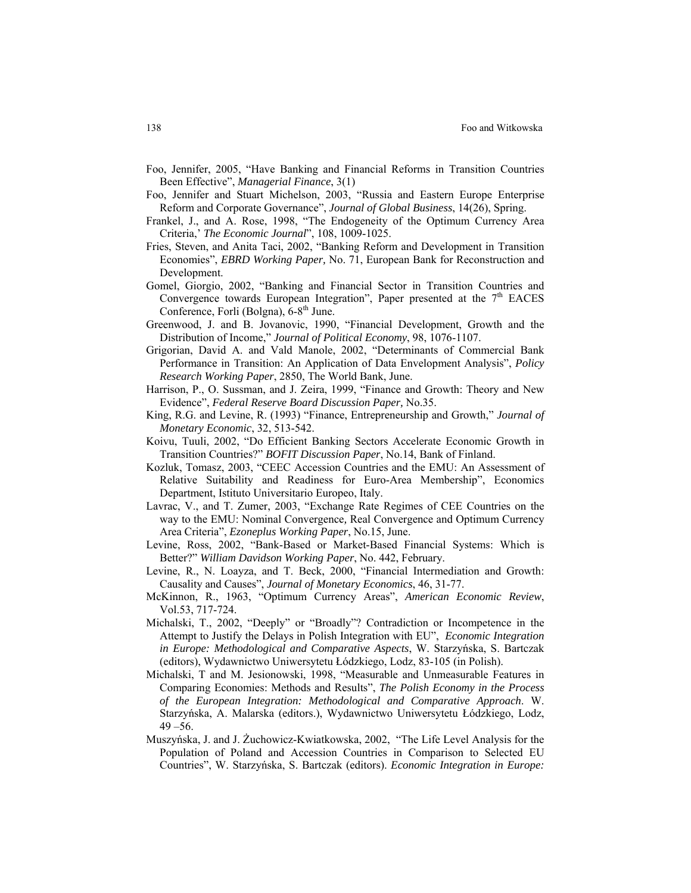- Foo, Jennifer, 2005, "Have Banking and Financial Reforms in Transition Countries Been Effective", *Managerial Finance*, 3(1)
- Foo, Jennifer and Stuart Michelson, 2003, "Russia and Eastern Europe Enterprise Reform and Corporate Governance", *Journal of Global Business*, 14(26), Spring.
- Frankel, J., and A. Rose, 1998, "The Endogeneity of the Optimum Currency Area Criteria,' *The Economic Journal*", 108, 1009-1025.
- Fries, Steven, and Anita Taci, 2002, "Banking Reform and Development in Transition Economies", *EBRD Working Paper,* No. 71, European Bank for Reconstruction and Development.
- Gomel, Giorgio, 2002, "Banking and Financial Sector in Transition Countries and Convergence towards European Integration", Paper presented at the  $7<sup>th</sup>$  EACES Conference, Forli (Bolgna),  $6-8^{th}$  June.
- Greenwood, J. and B. Jovanovic, 1990, "Financial Development, Growth and the Distribution of Income," *Journal of Political Economy*, 98, 1076-1107.
- Grigorian, David A. and Vald Manole, 2002, "Determinants of Commercial Bank Performance in Transition: An Application of Data Envelopment Analysis", *Policy Research Working Paper*, 2850, The World Bank, June.
- Harrison, P., O. Sussman, and J. Zeira, 1999, "Finance and Growth: Theory and New Evidence", *Federal Reserve Board Discussion Paper,* No.35.
- King, R.G. and Levine, R. (1993) "Finance, Entrepreneurship and Growth," *Journal of Monetary Economic*, 32, 513-542.
- Koivu, Tuuli, 2002, "Do Efficient Banking Sectors Accelerate Economic Growth in Transition Countries?" *BOFIT Discussion Paper*, No.14, Bank of Finland.
- Kozluk, Tomasz, 2003, "CEEC Accession Countries and the EMU: An Assessment of Relative Suitability and Readiness for Euro-Area Membership", Economics Department, Istituto Universitario Europeo, Italy.
- Lavrac, V., and T. Zumer, 2003, "Exchange Rate Regimes of CEE Countries on the way to the EMU: Nominal Convergence*,* Real Convergence and Optimum Currency Area Criteria", *Ezoneplus Working Paper*, No.15, June.
- Levine, Ross, 2002, "Bank-Based or Market-Based Financial Systems: Which is Better?" *William Davidson Working Paper*, No. 442, February.
- Levine, R., N. Loayza, and T. Beck, 2000, "Financial Intermediation and Growth: Causality and Causes", *Journal of Monetary Economics*, 46, 31-77.
- McKinnon, R., 1963, "Optimum Currency Areas", *American Economic Review*, Vol.53, 717-724.
- Michalski, T., 2002, "Deeply" or "Broadly"? Contradiction or Incompetence in the Attempt to Justify the Delays in Polish Integration with EU", *Economic Integration in Europe: Methodological and Comparative Aspects*, W. Starzyńska, S. Bartczak (editors), Wydawnictwo Uniwersytetu Łódzkiego, Lodz, 83-105 (in Polish).
- Michalski, T and M. Jesionowski, 1998, "Measurable and Unmeasurable Features in Comparing Economies: Methods and Results", *The Polish Economy in the Process of the European Integration: Methodological and Comparative Approach*. W. Starzyńska, A. Malarska (editors.), Wydawnictwo Uniwersytetu Łódzkiego, Lodz,  $49 - 56$ .
- Muszyńska, J. and J. Żuchowicz-Kwiatkowska, 2002, "The Life Level Analysis for the Population of Poland and Accession Countries in Comparison to Selected EU Countries", W. Starzyńska, S. Bartczak (editors). *Economic Integration in Europe:*